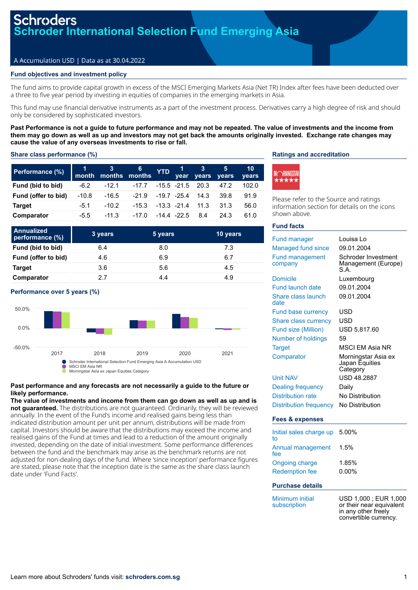## A Accumulation USD | Data as at 30.04.2022

## **Fund objectives and investment policy**

The fund aims to provide capital growth in excess of the MSCI Emerging Markets Asia (Net TR) Index after fees have been deducted over a three to five year period by investing in equities of companies in the emerging markets in Asia.

This fund may use financial derivative instruments as a part of the investment process. Derivatives carry a high degree of risk and should only be considered by sophisticated investors.

**Past Performance is not a guide to future performance and may not be repeated. The value of investments and the income from them may go down as well as up and investors may not get back the amounts originally invested. Exchange rate changes may cause the value of any overseas investments to rise or fall.**

## **Share class performance (%)**

| Performance (%)     | month   | $\sim 3-$ | - 6<br>months months | <b>YTD</b>      | vear        | $\sim$ 3 | $-5$<br>vears years | 10<br>vears |
|---------------------|---------|-----------|----------------------|-----------------|-------------|----------|---------------------|-------------|
| Fund (bid to bid)   | $-6.2$  | $-12.1$   | $-17.7$              |                 | -15.5 -21.5 | 20.3     | 47.2                | 102.0       |
| Fund (offer to bid) | $-10.8$ | $-16.5$   | $-21.9$              | -19.7 -25.4     |             | 14.3     | 39.8                | 91.9        |
| <b>Target</b>       | $-5.1$  | $-10.2$   | $-15.3$              | $-13.3 -21.4$   |             | 11.3     | 31.3                | 56.0        |
| Comparator          | $-5.5$  | $-11.3$   | -17.0                | $-14.4$ $-22.5$ |             | 8.4      | 24.3                | 61.0        |

| <b>Annualized</b><br>performance (%) | 3 years | 5 years | 10 years |
|--------------------------------------|---------|---------|----------|
| Fund (bid to bid)                    | 6.4     | 8.0     | 7.3      |
| Fund (offer to bid)                  | 4.6     | 6.9     | 6.7      |
| <b>Target</b>                        | 3.6     | 5.6     | 4.5      |
| Comparator                           | 27      | 4.4     | 4.9      |





### **Past performance and any forecasts are not necessarily a guide to the future or likely performance.**

**The value of investments and income from them can go down as well as up and is not guaranteed.** The distributions are not guaranteed. Ordinarily, they will be reviewed annually. In the event of the Fund's income and realised gains being less than indicated distribution amount per unit per annum, distributions will be made from capital. Investors should be aware that the distributions may exceed the income and realised gains of the Fund at times and lead to a reduction of the amount originally invested, depending on the date of initial investment. Some performance differences between the fund and the benchmark may arise as the benchmark returns are not adjusted for non-dealing days of the fund. Where 'since inception' performance figures are stated, please note that the inception date is the same as the share class launch date under 'Fund Facts'.

## **Ratings and accreditation**



Please refer to the Source and ratings information section for details on the icons shown above.

## **Fund facts**

| <b>Fund manager</b>           | Louisa Lo                                                                |
|-------------------------------|--------------------------------------------------------------------------|
| Managed fund since            | 09.01.2004                                                               |
| <b>Fund management</b>        | Schroder Investment                                                      |
| company                       | Management (Europe)                                                      |
|                               | S.A.                                                                     |
| <b>Domicile</b>               | Luxembourg                                                               |
| <b>Fund launch date</b>       | 09.01.2004                                                               |
| Share class launch<br>date    | 09.01.2004                                                               |
| <b>Fund base currency</b>     | USD                                                                      |
| Share class currency          | USD                                                                      |
| Fund size (Million)           | USD 5,817.60                                                             |
| Number of holdings            | 59                                                                       |
| <b>Target</b>                 | <b>MSCI EM Asia NR</b>                                                   |
| Comparator                    | Morningstar Asia ex                                                      |
|                               | Japan Ēquities                                                           |
|                               | Category                                                                 |
| <b>Unit NAV</b>               | <b>USD 48.2887</b>                                                       |
| <b>Dealing frequency</b>      | Daily                                                                    |
| <b>Distribution rate</b>      | No Distribution                                                          |
| <b>Distribution frequency</b> | No Distribution                                                          |
| <b>Fees &amp; expenses</b>    |                                                                          |
| Initial sales charge up<br>tο | 5.00%                                                                    |
| Annual management<br>fee      | 1.5%                                                                     |
| <b>Ongoing charge</b>         | 1.85%                                                                    |
| <b>Redemption fee</b>         | $0.00\%$                                                                 |
|                               |                                                                          |
| <b>Purchase details</b>       |                                                                          |
| Minimum initial               | USD 1,000 ; EUR 1,000                                                    |
| subscription                  | or their near equivalent<br>in any other freely<br>convertible currency. |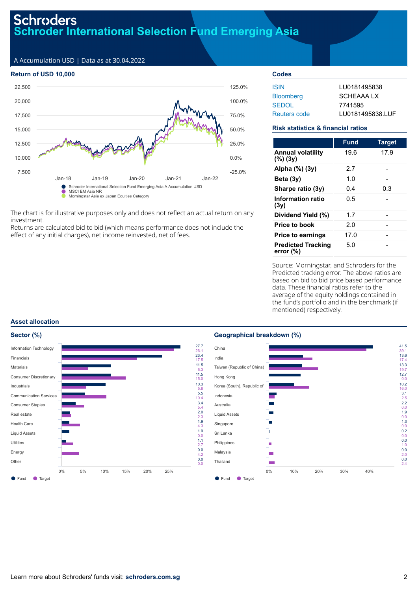## **Schroders Schroder International Selection Fund Emerging Asia**

A Accumulation USD | Data as at 30.04.2022

## **Return of USD 10,000**



The chart is for illustrative purposes only and does not reflect an actual return on any investment.

Returns are calculated bid to bid (which means performance does not include the effect of any initial charges), net income reinvested, net of fees.

## **Codes** ISIN LU0181495838 Bloomberg SCHEAAA LX SEDOL 7741595 Reuters code LU0181495838.LUF

## **Risk statistics & financial ratios**

|                                           | <b>Fund</b> | <b>Target</b> |
|-------------------------------------------|-------------|---------------|
| <b>Annual volatility</b><br>$(\%)$ (3y)   | 19.6        | 17.9          |
| Alpha (%) (3y)                            | 2.7         |               |
| Beta $(3y)$                               | 1.0         |               |
| Sharpe ratio (3y)                         | 0.4         | 0.3           |
| Information ratio<br>(3y)                 | 0.5         |               |
| Dividend Yield (%)                        | 1.7         |               |
| Price to book                             | 2.0         |               |
| <b>Price to earnings</b>                  | 17.0        |               |
| <b>Predicted Tracking</b><br>error $(\%)$ | 5.0         |               |

Source: Morningstar, and Schroders for the Predicted tracking error. The above ratios are based on bid to bid price based performance data. These financial ratios refer to the average of the equity holdings contained in the fund's portfolio and in the benchmark (if mentioned) respectively.

## **Asset allocation**



## **Geographical breakdown (%)**

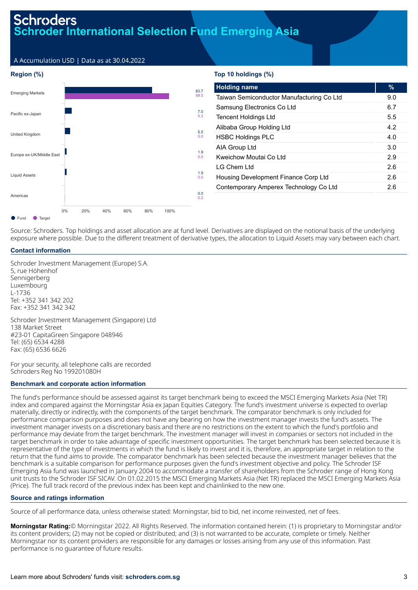# **Schroders Foder International Selection Fund Emerging Asia**

A Accumulation USD | Data as at 30.04.2022

## **Region (%)**



## **Top 10 holdings (%)**

| <b>Holding name</b>                       | $\%$ |
|-------------------------------------------|------|
| Taiwan Semiconductor Manufacturing Co Ltd | 9.0  |
| Samsung Electronics Co Ltd                | 6.7  |
| <b>Tencent Holdings Ltd</b>               | 5.5  |
| Alibaba Group Holding Ltd                 | 4.2  |
| <b>HSBC Holdings PLC</b>                  | 4.0  |
| AIA Group Ltd                             | 3.0  |
| Kweichow Moutai Co I td                   | 29   |
| I G Chem I td                             | 2.6  |
| Housing Development Finance Corp Ltd      | 26   |
| Contemporary Amperex Technology Co Ltd    | 2.6  |
|                                           |      |

Source: Schroders. Top holdings and asset allocation are at fund level. Derivatives are displayed on the notional basis of the underlying exposure where possible. Due to the different treatment of derivative types, the allocation to Liquid Assets may vary between each chart.

## **Contact information**

Schroder Investment Management (Europe) S.A. 5, rue Höhenhof Sennigerberg Luxembourg L-1736 Tel: +352 341 342 202 Fax: +352 341 342 342

Schroder Investment Management (Singapore) Ltd 138 Market Street #23-01 CapitaGreen Singapore 048946 Tel: (65) 6534 4288 Fax: (65) 6536 6626

For your security, all telephone calls are recorded Schroders Reg No 199201080H

### **Benchmark and corporate action information**

The fund's performance should be assessed against its target benchmark being to exceed the MSCI Emerging Markets Asia (Net TR) index and compared against the Morningstar Asia ex Japan Equities Category. The fund's investment universe is expected to overlap materially, directly or indirectly, with the components of the target benchmark. The comparator benchmark is only included for performance comparison purposes and does not have any bearing on how the investment manager invests the fund's assets. The investment manager invests on a discretionary basis and there are no restrictions on the extent to which the fund's portfolio and performance may deviate from the target benchmark. The investment manager will invest in companies or sectors not included in the target benchmark in order to take advantage of specific investment opportunities. The target benchmark has been selected because it is representative of the type of investments in which the fund is likely to invest and it is, therefore, an appropriate target in relation to the return that the fund aims to provide. The comparator benchmark has been selected because the investment manager believes that the benchmark is a suitable comparison for performance purposes given the fund's investment objective and policy. The Schroder ISF Emerging Asia fund was launched in January 2004 to accommodate a transfer of shareholders from the Schroder range of Hong Kong unit trusts to the Schroder ISF SICAV. On 01.02.2015 the MSCI Emerging Markets Asia (Net TR) replaced the MSCI Emerging Markets Asia (Price). The full track record of the previous index has been kept and chainlinked to the new one.

## **Source and ratings information**

Source of all performance data, unless otherwise stated: Morningstar, bid to bid, net income reinvested, net of fees.

**Morningstar Rating:**© Morningstar 2022. All Rights Reserved. The information contained herein: (1) is proprietary to Morningstar and/or its content providers; (2) may not be copied or distributed; and (3) is not warranted to be accurate, complete or timely. Neither Morningstar nor its content providers are responsible for any damages or losses arising from any use of this information. Past performance is no guarantee of future results.